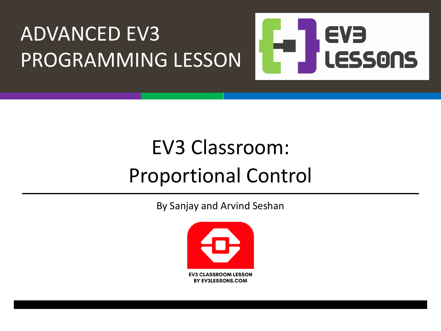

#### EV3 Classroom: Proportional Control

By Sanjay and Arvind Seshan

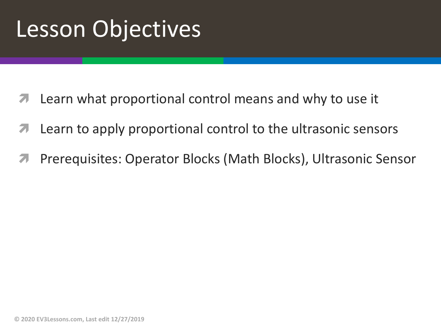### Lesson Objectives

- Learn what proportional control means and why to use it
- **7** Learn to apply proportional control to the ultrasonic sensors
- ì Prerequisites: Operator Blocks (Math Blocks), Ultrasonic Sensor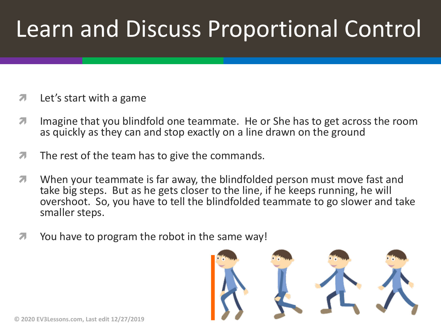## Learn and Discuss Proportional Control

- $\lambda$  Let's start with a game
- **7** Imagine that you blindfold one teammate. He or She has to get across the room as quickly as they can and stop exactly on a line drawn on the ground
- $\sqrt{ }$  The rest of the team has to give the commands.
- When your teammate is far away, the blindfolded person must move fast and take big steps. But as he gets closer to the line, if he keeps running, he will overshoot. So, you have to tell the blindfolded teammate to go slower and take smaller steps.
- $\blacktriangleright$  You have to program the robot in the same way!

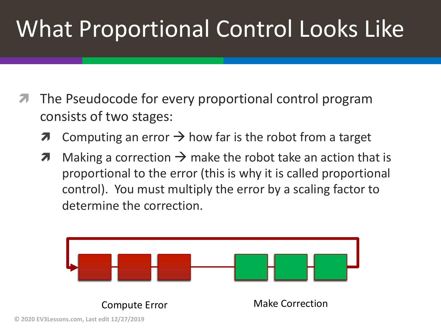# What Proportional Control Looks Like

- The Pseudocode for every proportional control program consists of two stages:
	- $\lambda$  Computing an error  $\rightarrow$  how far is the robot from a target
	- $\lambda$  Making a correction  $\rightarrow$  make the robot take an action that is proportional to the error (this is why it is called proportional control). You must multiply the error by a scaling factor to determine the correction.

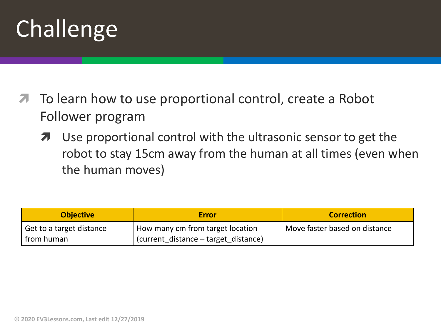# Challenge

- To learn how to use proportional control, create a Robot Follower program
	- **7** Use proportional control with the ultrasonic sensor to get the robot to stay 15cm away from the human at all times (even when the human moves)

| <b>Objective</b>                      | <b>Error</b>                         | <b>Correction</b>             |
|---------------------------------------|--------------------------------------|-------------------------------|
| <sup>I</sup> Get to a target distance | How many cm from target location     | Move faster based on distance |
| I from human                          | (current distance – target distance) |                               |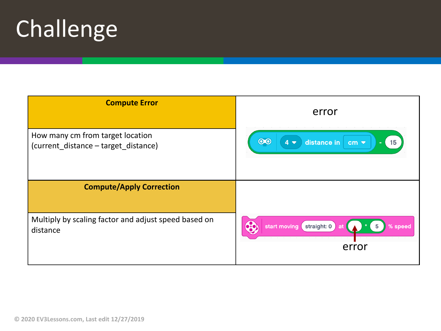# Challenge

| <b>Compute Error</b>                                                     | error                                                              |
|--------------------------------------------------------------------------|--------------------------------------------------------------------|
| How many cm from target location<br>(current_distance - target_distance) | $\odot$<br>distance in<br>$4\bullet$<br>15<br>$cm -$<br>٠          |
| <b>Compute/Apply Correction</b>                                          |                                                                    |
| Multiply by scaling factor and adjust speed based on<br>distance         | <b>6.0</b><br>straight: 0<br>start moving<br>% speed<br>5<br>error |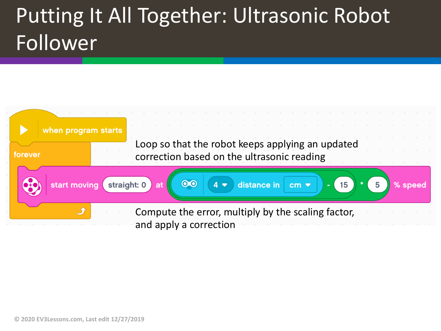#### Putting It All Together: Ultrasonic Robot Follower

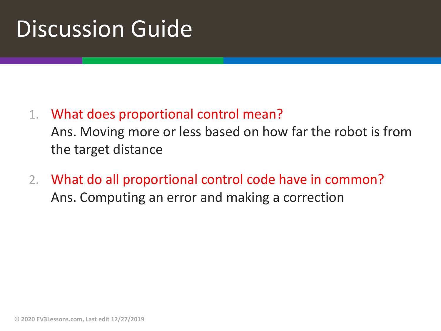### Discussion Guide

1. What does proportional control mean?

Ans. Moving more or less based on how far the robot is from the target distance

2. What do all proportional control code have in common? Ans. Computing an error and making a correction